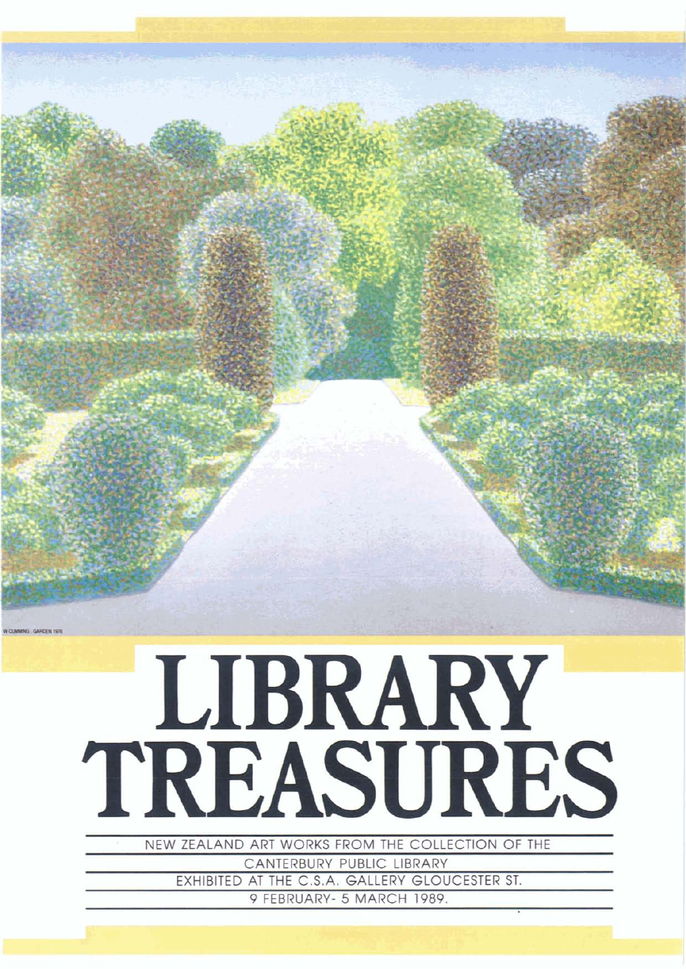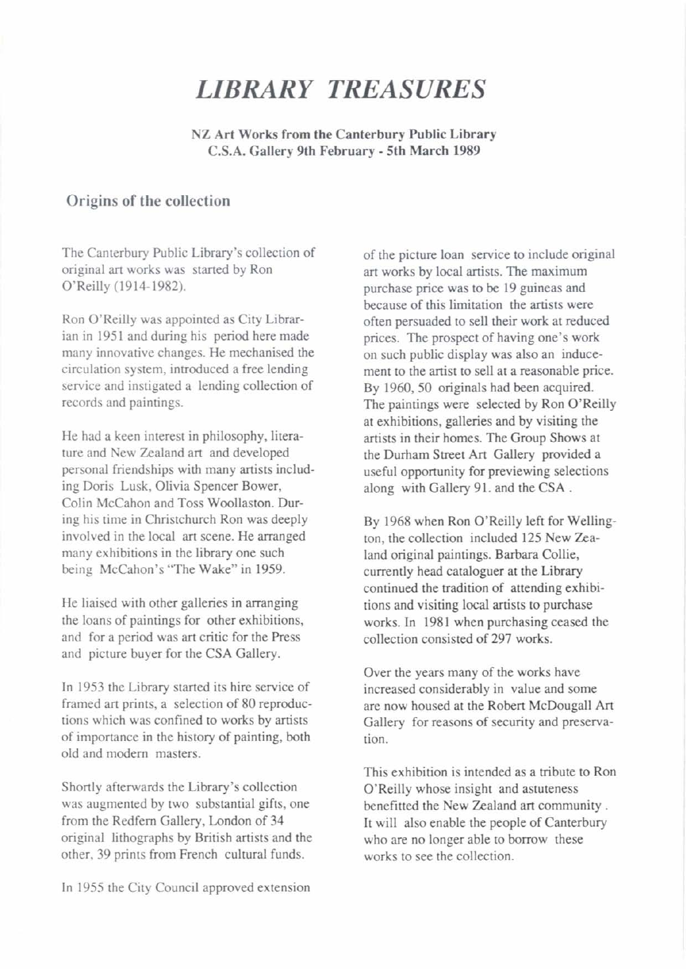## *LIBRARY TREASURES*

**NZ Art Works from the Canterbury Public Library C.S.A. Gallery 9th February** - **5th March 1989** 

## **Origins of the collection**

The Canterbury Public Library's collection of original **art** works was started by Ron O'Reilly (1914-1982).

Ron O'Reilly was appointed as City Librarian in 1951 and during his period here made many innovative changes. He mechanised the circulation system, introduced a **free** lending service and instigated a lending collection of records and paintings.

He had a keen interest in philosophy, literature and New Zealand art and developed personal friendships with many artists including Doris Lusk, Olivia Spencer Bower, Colin McCahon and Toss Woollaston. **Dur**ing his time in Christchurch Ron was deeply involved in the local **art** scene. He arranged many exhibitions in the library one such being McCahon's 'The Wake" in 1959.

He liaised with other galleries in arranging the loans of paintings for other exhibitions, and for a period was *art* critic for the Press and picture buyer for the CSA Gallery.

In 1953 the Library started its hire service of framed art prints, a selection of 80 reproductions which was confined to works by artists of importance in the history of painting, both old and modern masters.

Shortly afterwards the Library's collection was augmented by two substantial gifts, one from the Redfern Gallery, London of 34 original lithographs by British artists and the other, 39 prints from French cultural funds.

In 1955 the City Council approved extension

of the picture loan senrice to include original art works by local artists. The maximum purchase price was to be 19 guineas and because of this limitation the artists were often persuaded to sell their work at reduced prices. The prospect of having one's work on such public display was also an inducement to the artist to sell at a reasonable price. By 1960, 50 originals had been acquired. The paintings were selected by Ron O'Reilly at exhibitions, galleries and by visiting the artists in their homes. The Group Shows at the **Durham** Street **Art Gallery** provided a useful opportunity for previewing selections along with Gallery 91. and the CSA .

By 1968 when Ron O'Reilly left for Wellington, the collection included 125 New Zealand original paintings. Barbara Collie, currently head cataloguer at the Library continued the tradition of attending exhibitions and visiting local artists to purchase works. In 1981 when purchasing ceased the collection consisted of 297 works.

Over the years many of the works have increased considerably in value and some are now housed at the Robert McDougall **Art**  Gallery for reasons of security and preservation.

This exhibition is intended as a tribute to Ron 0' Reilly whose insight and astuteness benefitted the New Zealand **art** community . It will also enable the people of Canterbury who are no longer able to borrow these works to see the collection.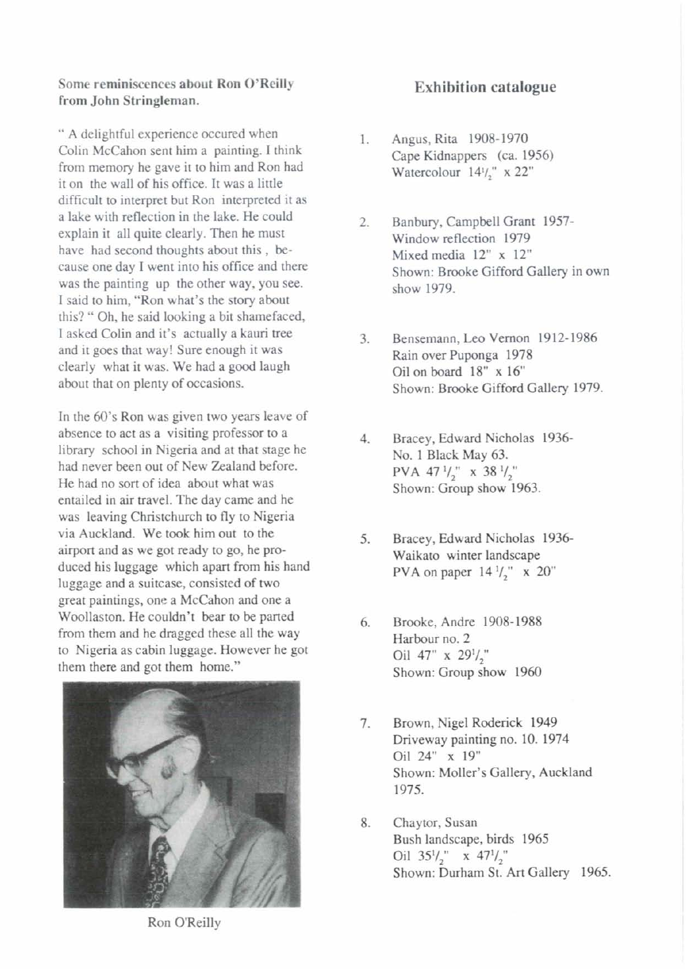**Some reminiscences about Ron O'Reilly from John Stringleman.** 

" A delightful experience occured when Colin McCahon sent him a painting. I think from memory he gave it to him and Ron had it on the wall of his office. It was a little difficult to interpret but Ron interpreted it as a lake with reflection in the lake. He could explain it all quite clearly. Then he must have had second thoughts about this , because one day I went into his office and there was the painting up the other way, you see. I said to him, "Ron what's the story about this? " Oh, he said looking a bit shamefaced, I asked Colin and it's actually a **kauri tree**  and it goes that way! Sure enough it was clearly what it was. We had a good laugh about that on plenty of occasions.

In the 60's Ron was given two years leave of absence to act as a visiting professor to a library school in Nigeria and at that stage he had never been out of New Zealand before. He had no sort of idea about what was entailed in air travel. The day came and he was leaving Christchurch to fly to Nigeria via Auckland. We took him out to the airport and as we got ready to go, he produced his luggage which apart **from** his hand luggage and a suitcase, consisted of two great paintings, one a McCahon and one a Woollaston. He couldn't bear to be parted from them and he dragged these all the way to Nigeria as cabin luggage. However he got them there and got them home."



## **Exhibition catalogue**

- 1. Angus, Rita **1908- 1970 Cape** Kidnappers (ca. **1956)**  Watercolour **14'1," x 22"**
- $2.$ Banbury, Campbell Grant **1957-**  Window reflection **1979**  Mixed media **12" x 12"**  Shown: Brooke Gifford Gallery in own show **1979.**
- **3.** Bensemann, **Leo** Vernon **1912- 1986**  Rain over Puponga **1978**  Oil on board 18" x 16" Shown: Brooke Gifford Gallery **1979.**
- $4.$ Bracey, Edward Nicholas **1936-**  No. **1** Black May **63.**  PVA **47** '12" **x 38 '1,"**  Shown: Group show **1963.**
- **5.** Bracey, Edward Nicholas **1936-**  Waikato winter landscape PVA on paper **14 I/," x 20"**
- **6.** Brooke, Andre **1908- 1988**  Harbour no. 2 Oil 47" x 29<sup>1</sup>/<sub>2</sub>" Shown: Group show **1960**
- 7. Brown, Nigel Roderick **1949**  Driveway painting no. **10. 1974**  Oil **24" x 19"**  Shown: Moller's Gallery, Auckland **1975.**
- 8. Chaytor, Susan Bush landscape, birds **1965**  Oil **3S1/," x 47l/,"**  Shown: Durham St. Art Gallery **1965.**

Ron O'Reilly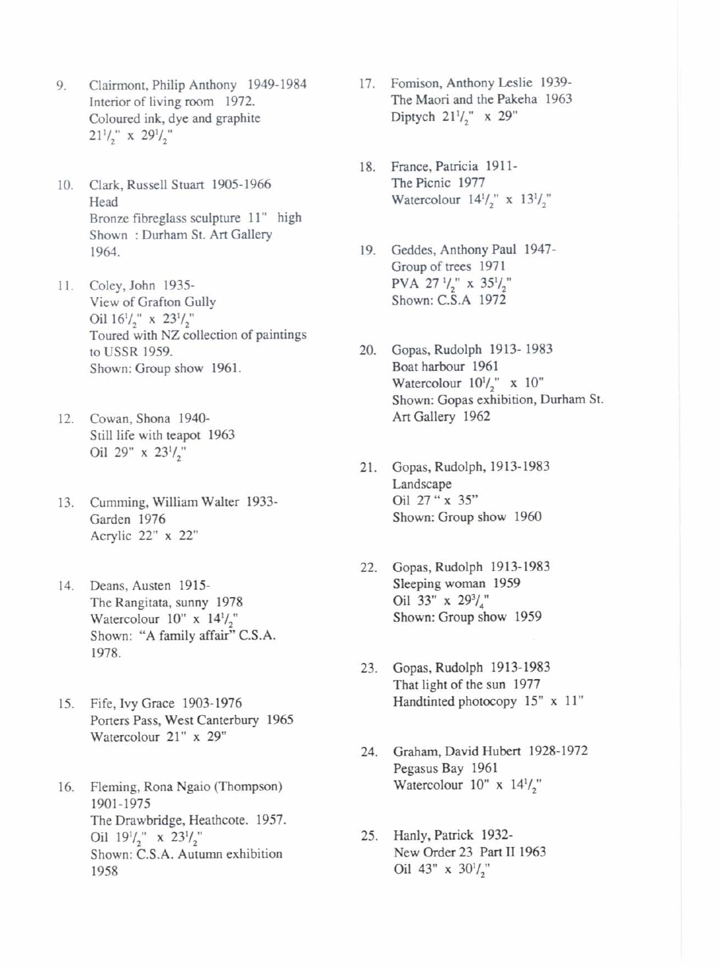- Clairmont, Philip Anthony 1949- 1984 9. Interior of living room 1972. Coloured **ink,** dye and graphite  $21^{1/2}$  x  $29^{1/2}$
- 10. Clark, Russell Stuart 1905-1966 Head Bronze fibreglass sculpture 11" high Shown : Durham St. Art Gallery 1964.
- 11. Coley, John 1935-View of Grafton Gully Oil  $16^{1}/_{2}$ " x  $23^{1}/_{2}$ " Toured with **NZ** collection of paintings to USSR 1959. Shown: Group show 1961.
- 12. Cowan. Shona 1940- Still life with teapot 1963 Oil 29"  $x$  23 $1/2$ "
- 13. Cumming, William Walter 1933-Garden 1976 Acrylic 22" x 22"
- 14. Deans, Austen 1915- The **Rangitata,** sunny 1978 Watercolour  $10'' \times 14' /_{2}$ Shown: "A family affair" C.S.A. 1978.
- 15. Fife, Ivy Grace 1903- 1976 Porters Pass, West **Canterbury** 1965 Watercolour 21" **x** 29"
- 16. Fleming, Rona Ngaio (Thompson) 1901-1975 The Drawbridge, Heathcote. 1957. Oil  $19^{1}/_{2}$ " x  $23^{1}/_{2}$ " Shown: C.S.A. Autumn exhibition 1958
- 17. Fomison, Anthony Leslie 1939- The Maori and the Pakeha 1963 Diptych  $21^{1}/_{2}$ " x 29"
- 18. **France,Palricia** 1911- The Picnic 1977 Watercolour  $14^{1/2}$  **x**  $13^{1/2}$
- 19. Geddes, Anthony Paul 1947- Group of trees 1971 PVA 27<sup>1</sup>/<sub>2</sub>" x 35<sup>1</sup>/<sub>2</sub>" Shown: C.S.A 1972
- 20. Gopas, Rudolph 1913- 1983 Boat harbour 1961 Watercolour  $10^{1/2}$ " x  $10$ " Shown: Gopas exhibition, Durham St. Art Gallery 1962
- 21. Gopas, Rudolph, 1913-1983 Landscape **Oil 27"x** 35" Shown: Group show 1960
- 22. Gopas, Rudolph 1913-1983 Sleeping woman 1959 Oil 33" x  $29\frac{3}{4}$ " Shown: Group show 1959
- 23. Gopas, Rudolph 1913- 1983 That light of the sun 1977 Handtinted photocopy 15" x 11"
- 24. Graham, David Hubert 1928-1972 Pegasus Bay 1961 Watercolour  $10'' \times 14^{1/2}$
- 25. Hanly, Patrick 1932-New **Order** 23 Part **I1** 1963 Oil 43" x  $30^{1}/2$ "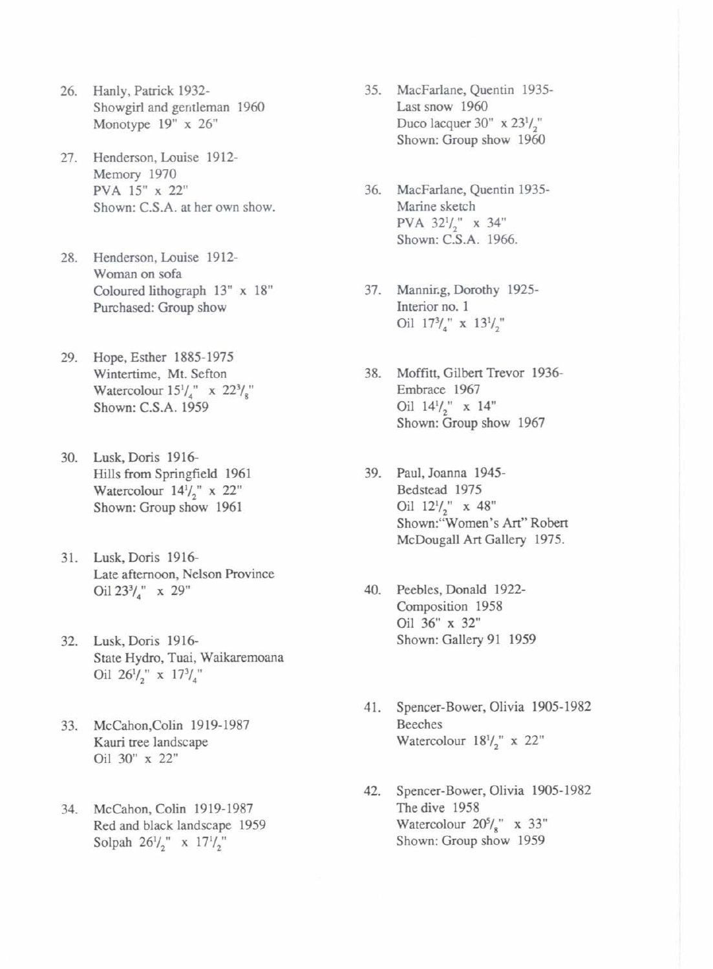- 26. Hanly, Patrick 1932- Showgirl and gentleman 1960 Monotype 19" **x** 26"
- 27. Henderson, **Louise** 1912- Memory 1970 PVA 15" **x** 22" Shown: C.S.A. at her own show.
- 28. Henderson,Louise 1912- Woman on sofa Coloured lithograph 13" **x** 18" **Purchased:** Group show
- 29. Hope, Esther 1885-1975 Wintertime, Mt. Sefton Watercolour  $15^{1}/_{4}$  **x**  $22^{3}/_{8}$ " Shown: C.S.A. 1959
- 30. Lusk, Doris 1916- Hills from Springfield 1961 Watercolour 14l/," **x** 22" Shown: Group show 1961
- 31. Lusk,Doris 1916- Late afternoon, Nelson Province **Oil** 233/," **x** 29"
- 32. Lusk, Doris 1916- State Hydro, Tuai, Waikaremoana **Oil** 26l/," **x** 173/,"
- 33. McCahon,Colin 1919-1987 **Kauri tree** landscape **Oil** 30 **x** 22"
- 34. McCahon, Colin 1919-1987 **Red** and black landscape 1959 Solpah  $26^{1}/_{2}$ " **x**  $17^{1}/_{2}$ "
- 35. MacFarlane, Quentin 1935-Last snow 1960 Duco lacquer **30" x** 23l/," Shown: Group show 1960
- 36. MacFarlane, Quentin 1935- **Marine** sketch PVA 32l/," x 34" Shown: C.S.A. 1966.
- 37. **Mannicg,** Dorothy 1925- Interior no. 1 **Oil** 173/4" **x** 13l/,"
- 38. Moffitt, Gilbert Trevor 1936-Embrace 1967 **Oil** 14l/," **x** 14" Shown: Group show 1967
- 39. Paul, Joanna 1945- Bedstead 1975 **Oil** 12l/," x 48" Shown: Women's Art" Robert McDougall Art Gallery 1975.
- 40. Peebles, Donald 1922- Composition 1958 Oil 36" **x** 32" Shown: Gallery 91 1959
- 41. Spencer-Bower, Olivia 1905- 1982 Beeches Watercolour  $18\frac{1}{2}$ " x 22"
- 42. Spencer-Bower, Olivia 1905- 1982 **The** dive 1958 Watercolour  $20\frac{5}{8}$  **x** 33" Shown: Group show 1959